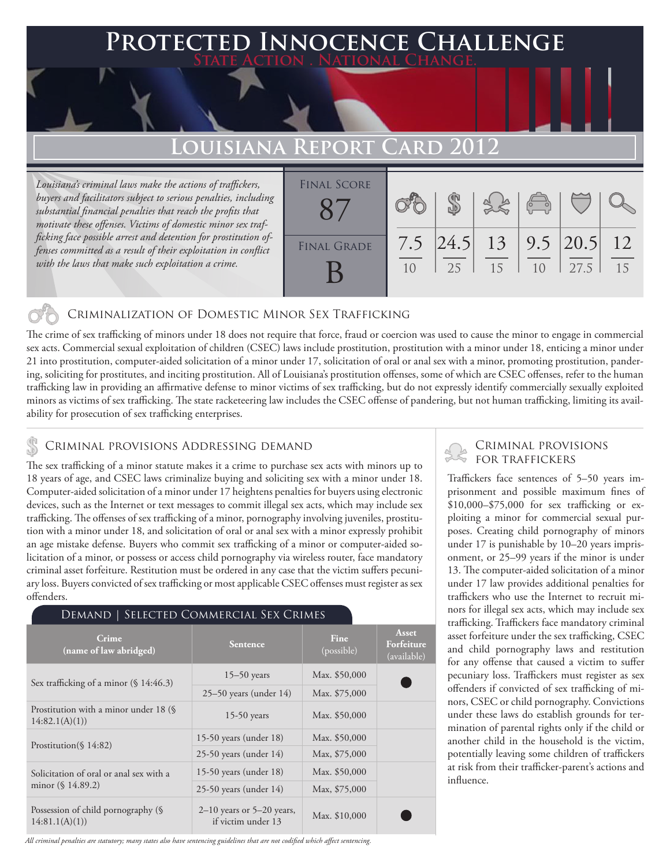## **Protected Innocence Challenge State Action . National Change.**

# **Louisiana Report Card 2012**

*Louisiana's criminal laws make the actions of traffickers, buyers and facilitators subject to serious penalties, including substantial financial penalties that reach the profits that motivate these offenses. Victims of domestic minor sex trafficking face possible arrest and detention for prostitution offenses committed as a result of their exploitation in conflict with the laws that make such exploitation a crime.*

| <b>FINAL SCORE</b> |            |             |          | $\sqrt{\frac{1}{2}}$ |                      |          |
|--------------------|------------|-------------|----------|----------------------|----------------------|----------|
| <b>FINAL GRADE</b> | 7.5<br>1() | 24.5 <br>25 | 13<br>15 | 1 <sub>0</sub>       | $9.5$  20.5 <br>27.5 | 12<br>15 |

## Criminalization of Domestic Minor Sex Trafficking

The crime of sex trafficking of minors under 18 does not require that force, fraud or coercion was used to cause the minor to engage in commercial sex acts. Commercial sexual exploitation of children (CSEC) laws include prostitution, prostitution with a minor under 18, enticing a minor under 21 into prostitution, computer-aided solicitation of a minor under 17, solicitation of oral or anal sex with a minor, promoting prostitution, pandering, soliciting for prostitutes, and inciting prostitution. All of Louisiana's prostitution offenses, some of which are CSEC offenses, refer to the human trafficking law in providing an affirmative defense to minor victims of sex trafficking, but do not expressly identify commercially sexually exploited minors as victims of sex trafficking. The state racketeering law includes the CSEC offense of pandering, but not human trafficking, limiting its availability for prosecution of sex trafficking enterprises.

### Criminal provisions Addressing demand

The sex trafficking of a minor statute makes it a crime to purchase sex acts with minors up to 18 years of age, and CSEC laws criminalize buying and soliciting sex with a minor under 18. Computer-aided solicitation of a minor under 17 heightens penalties for buyers using electronic devices, such as the Internet or text messages to commit illegal sex acts, which may include sex trafficking. The offenses of sex trafficking of a minor, pornography involving juveniles, prostitution with a minor under 18, and solicitation of oral or anal sex with a minor expressly prohibit an age mistake defense. Buyers who commit sex trafficking of a minor or computer-aided solicitation of a minor, or possess or access child pornography via wireless router, face mandatory criminal asset forfeiture. Restitution must be ordered in any case that the victim suffers pecuniary loss. Buyers convicted of sex trafficking or most applicable CSEC offenses must register as sex offenders.

#### Demand | Selected Commercial Sex Crimes **Crime (i)** Crime **Crime Fine Fine Fine Fine Fine Fine Fine Fine Fine Fine Fine Fine Fine Fine Fine Fine Fine Fine Fine Fine Fine Fine Fine Fine Fine Fine Fine Fine Fine** (possible) **Asset Forfeiture**  (available) Sex trafficking of a minor (§ 14:46.3) 15–50 years Max. \$50,000<br>25–50 years (under 14) Max. \$75,000  $25-50$  years (under  $14$ ) Prostitution with a minor under 18 (§ 14:82.1(A)(1)) 15-50 years Max. \$50,000 Prostitution(§ 14:82)<br>25-50 years (under 18) Max. \$50,000<br>25-50 years (under 14) Max. \$75,000  $25-50$  years (under  $14$ ) Solicitation of oral or anal sex with a minor (§ 14.89.2) 15-50 years (under 18) Max. \$50,000 25-50 years (under 14) Max, \$75,000 Possession of child pornography (§ 14:81.1(A)(1)) 2–10 years or 5–20 years, if victim under  $13$  Max. \$10,000

## Criminal provisions

Traffickers face sentences of 5–50 years imprisonment and possible maximum fines of \$10,000–\$75,000 for sex trafficking or exploiting a minor for commercial sexual purposes. Creating child pornography of minors under 17 is punishable by 10–20 years imprisonment, or 25–99 years if the minor is under 13. The computer-aided solicitation of a minor under 17 law provides additional penalties for traffickers who use the Internet to recruit minors for illegal sex acts, which may include sex trafficking. Traffickers face mandatory criminal asset forfeiture under the sex trafficking, CSEC and child pornography laws and restitution for any offense that caused a victim to suffer pecuniary loss. Traffickers must register as sex offenders if convicted of sex trafficking of minors, CSEC or child pornography. Convictions under these laws do establish grounds for termination of parental rights only if the child or another child in the household is the victim, potentially leaving some children of traffickers at risk from their trafficker-parent's actions and influence.

*All criminal penalties are statutory; many states also have sentencing guidelines that are not codified which affect sentencing.*